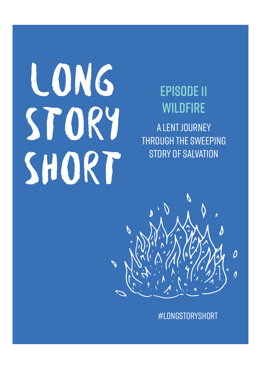# LONG Story SHORT

## Episode 11 **WILDFIRE**

A Lent journey through the sweeping story of Salvation



#LongStoryShort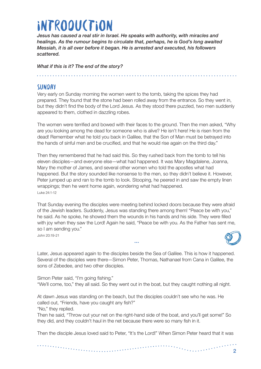## **INTRODUCTION**

*Jesus has caused a real stir in Israel. He speaks with authority, with miracles and healings. As the rumour begins to circulate that, perhaps, he is God's long awaited Messiah, it is all over before it began. He is arrested and executed, his followers scattered.*

*What if this is it? The end of the story?*

#### Sunday

Very early on Sunday morning the women went to the tomb, taking the spices they had prepared. They found that the stone had been rolled away from the entrance. So they went in, but they didn't find the body of the Lord Jesus. As they stood there puzzled, two men suddenly appeared to them, clothed in dazzling robes.

The women were terrified and bowed with their faces to the ground. Then the men asked, "Why are you looking among the dead for someone who is alive? He isn't here! He is risen from the dead! Remember what he told you back in Galilee, that the Son of Man must be betrayed into the hands of sinful men and be crucified, and that he would rise again on the third day."

Then they remembered that he had said this. So they rushed back from the tomb to tell his eleven disciples—and everyone else—what had happened. It was Mary Magdalene, Joanna, Mary the mother of James, and several other women who told the apostles what had happened. But the story sounded like nonsense to the men, so they didn't believe it. However, Peter jumped up and ran to the tomb to look. Stooping, he peered in and saw the empty linen wrappings; then he went home again, wondering what had happened. Luke 24:1-12

That Sunday evening the disciples were meeting behind locked doors because they were afraid of the Jewish leaders. Suddenly, Jesus was standing there among them! "Peace be with you," he said. As he spoke, he showed them the wounds in his hands and his side. They were filled with joy when they saw the Lord! Again he said, "Peace be with you. As the Father has sent me, so I am sending you."

John 20:19-21



Later, Jesus appeared again to the disciples beside the Sea of Galilee. This is how it happened. Several of the disciples were there—Simon Peter, Thomas, Nathanael from Cana in Galilee, the sons of Zebedee, and two other disciples.

**…**

Simon Peter said, "I'm going fishing." "We'll come, too," they all said. So they went out in the boat, but they caught nothing all night.

At dawn Jesus was standing on the beach, but the disciples couldn't see who he was. He called out, "Friends, have you caught any fish?" "No," they replied.

Then he said, "Throw out your net on the right-hand side of the boat, and you'll get some!" So they did, and they couldn't haul in the net because there were so many fish in it.

Then the disciple Jesus loved said to Peter, "It's the Lord!" When Simon Peter heard that it was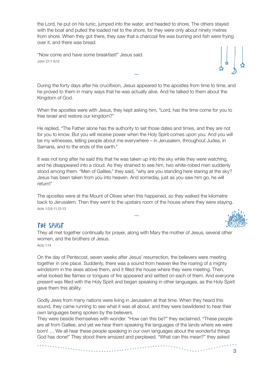the Lord, he put on his tunic, jumped into the water, and headed to shore. The others stayed with the boat and pulled the loaded net to the shore, for they were only about ninety metres from shore. When they got there, they saw that a charcoal fire was burning and fish were frying over it, and there was bread.

"Now come and have some breakfast!" Jesus said. John 21:1-9,12



During the forty days after his crucifixion, Jesus appeared to the apostles from time to time, and he proved to them in many ways that he was actually alive. And he talked to them about the Kingdom of God.

**…**

When the apostles were with Jesus, they kept asking him, "Lord, has the time come for you to free Israel and restore our kingdom?"

He replied, "The Father alone has the authority to set those dates and times, and they are not for you to know. But you will receive power when the Holy Spirit comes upon you. And you will be my witnesses, telling people about me everywhere – in Jerusalem, throughout Judea, in Samaria, and to the ends of the earth."

It was not long after he said this that he was taken up into the sky while they were watching, and he disappeared into a cloud. As they strained to see him, two white-robed men suddenly stood among them. "Men of Galilee," they said, "why are you standing here staring at the sky? Jesus has been taken from you into heaven. And someday, just as you saw him go, he will return!"

The apostles were at the Mount of Olives when this happened, so they walked the kilometre back to Jerusalem. Then they went to the upstairs room of the house where they were staying. Acts 1:3,6-11,12-13

**…**

### The spirit

They all met together continually for prayer, along with Mary the mother of Jesus, several other women, and the brothers of Jesus. Acts 1:14

On the day of Pentecost, seven weeks after Jesus' resurrection, the believers were meeting together in one place. Suddenly, there was a sound from heaven like the roaring of a mighty windstorm in the skies above them, and it filled the house where they were meeting. Then, what looked like flames or tongues of fire appeared and settled on each of them. And everyone present was filled with the Holy Spirit and began speaking in other languages, as the Holy Spirit gave them this ability.

Godly Jews from many nations were living in Jerusalem at that time. When they heard this sound, they came running to see what it was all about, and they were bewildered to hear their own languages being spoken by the believers.

They were beside themselves with wonder. "How can this be?" they exclaimed. "These people are all from Galilee, and yet we hear them speaking the languages of the lands where we were born! … We all hear these people speaking in our own languages about the wonderful things God has done!" They stood there amazed and perplexed. "What can this mean?" they asked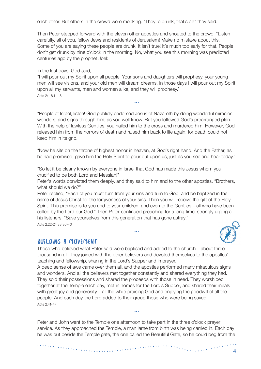each other. But others in the crowd were mocking. "They're drunk, that's all!" they said.

Then Peter stepped forward with the eleven other apostles and shouted to the crowd, "Listen carefully, all of you, fellow Jews and residents of Jerusalem! Make no mistake about this. Some of you are saying these people are drunk. It isn't true! It's much too early for that. People don't get drunk by nine o'clock in the morning. No, what you see this morning was predicted centuries ago by the prophet Joel:

#### In the last days, God said,

"I will pour out my Spirit upon all people. Your sons and daughters will prophesy, your young men will see visions, and your old men will dream dreams. In those days I will pour out my Spirit upon all my servants, men and women alike, and they will prophesy." Acts 2:1-8,11-18

**…**

"People of Israel, listen! God publicly endorsed Jesus of Nazareth by doing wonderful miracles, wonders, and signs through him, as you well know. But you followed God's prearranged plan. With the help of lawless Gentiles, you nailed him to the cross and murdered him. However, God released him from the horrors of death and raised him back to life again, for death could not keep him in its grip.

"Now he sits on the throne of highest honor in heaven, at God's right hand. And the Father, as he had promised, gave him the Holy Spirit to pour out upon us, just as you see and hear today."

"So let it be clearly known by everyone in Israel that God has made this Jesus whom you crucified to be both Lord and Messiah!"

Peter's words convicted them deeply, and they said to him and to the other apostles, "Brothers, what should we do?"

Peter replied, "Each of you must turn from your sins and turn to God, and be baptized in the name of Jesus Christ for the forgiveness of your sins. Then you will receive the gift of the Holy Spirit. This promise is to you and to your children, and even to the Gentiles – all who have been called by the Lord our God." Then Peter continued preaching for a long time, strongly urging all his listeners, "Save yourselves from this generation that has gone astray!" Acts 2:22-24,33,36-40

**…**

### Building a movement

Those who believed what Peter said were baptised and added to the church – about three thousand in all. They joined with the other believers and devoted themselves to the apostles' teaching and fellowship, sharing in the Lord's Supper and in prayer.

A deep sense of awe came over them all, and the apostles performed many miraculous signs and wonders. And all the believers met together constantly and shared everything they had. They sold their possessions and shared the proceeds with those in need. They worshiped together at the Temple each day, met in homes for the Lord's Supper, and shared their meals with great joy and generosity – all the while praising God and enjoying the goodwill of all the people. And each day the Lord added to their group those who were being saved. Acts 2:41-47

Peter and John went to the Temple one afternoon to take part in the three o'clock prayer service. As they approached the Temple, a man lame from birth was being carried in. Each day he was put beside the Temple gate, the one called the Beautiful Gate, so he could beg from the

**…**